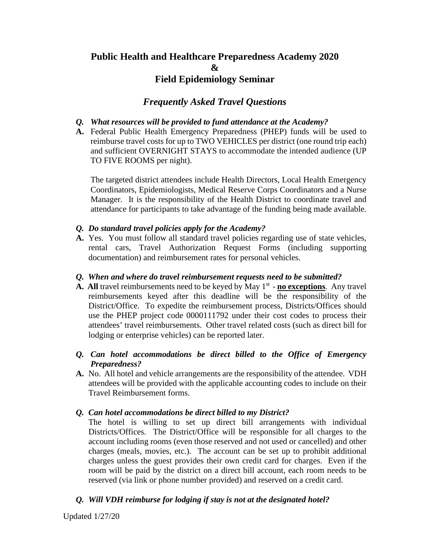# **Public Health and Healthcare Preparedness Academy 2020 & Field Epidemiology Seminar**

# *Frequently Asked Travel Questions*

### *Q. What resources will be provided to fund attendance at the Academy?*

**A.** Federal Public Health Emergency Preparedness (PHEP) funds will be used to reimburse travel costs for up to TWO VEHICLES per district (one round trip each) and sufficient OVERNIGHT STAYS to accommodate the intended audience (UP TO FIVE ROOMS per night).

The targeted district attendees include Health Directors, Local Health Emergency Coordinators, Epidemiologists, Medical Reserve Corps Coordinators and a Nurse Manager. It is the responsibility of the Health District to coordinate travel and attendance for participants to take advantage of the funding being made available.

### *Q. Do standard travel policies apply for the Academy?*

**A.** Yes. You must follow all standard travel policies regarding use of state vehicles, rental cars, Travel Authorization Request Forms (including supporting documentation) and reimbursement rates for personal vehicles.

#### *Q. When and where do travel reimbursement requests need to be submitted?*

- **A.** All travel reimbursements need to be keyed by May  $1<sup>st</sup>$  **no exceptions**. Any travel reimbursements keyed after this deadline will be the responsibility of the District/Office. To expedite the reimbursement process, Districts/Offices should use the PHEP project code 0000111792 under their cost codes to process their attendees' travel reimbursements. Other travel related costs (such as direct bill for lodging or enterprise vehicles) can be reported later.
- *Q. Can hotel accommodations be direct billed to the Office of Emergency Preparedness?*
- **A.** No. All hotel and vehicle arrangements are the responsibility of the attendee. VDH attendees will be provided with the applicable accounting codes to include on their Travel Reimbursement forms.

### *Q. Can hotel accommodations be direct billed to my District?*

The hotel is willing to set up direct bill arrangements with individual Districts/Offices. The District/Office will be responsible for all charges to the account including rooms (even those reserved and not used or cancelled) and other charges (meals, movies, etc.). The account can be set up to prohibit additional charges unless the guest provides their own credit card for charges. Even if the room will be paid by the district on a direct bill account, each room needs to be reserved (via link or phone number provided) and reserved on a credit card.

## *Q. Will VDH reimburse for lodging if stay is not at the designated hotel?*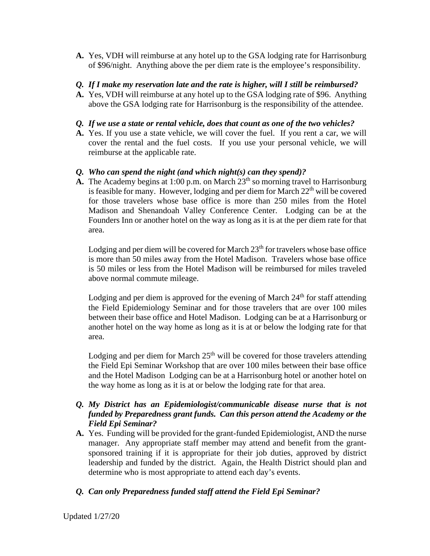**A.** Yes, VDH will reimburse at any hotel up to the GSA lodging rate for Harrisonburg of \$96/night. Anything above the per diem rate is the employee's responsibility.

## *Q. If I make my reservation late and the rate is higher, will I still be reimbursed?*

**A.** Yes, VDH will reimburse at any hotel up to the GSA lodging rate of \$96. Anything above the GSA lodging rate for Harrisonburg is the responsibility of the attendee.

# *Q. If we use a state or rental vehicle, does that count as one of the two vehicles?*

**A.** Yes. If you use a state vehicle, we will cover the fuel. If you rent a car, we will cover the rental and the fuel costs. If you use your personal vehicle, we will reimburse at the applicable rate.

# *Q. Who can spend the night (and which night(s) can they spend)?*

**A.** The Academy begins at 1:00 p.m. on March 23<sup>th</sup> so morning travel to Harrisonburg is feasible for many. However, lodging and per diem for March  $22<sup>th</sup>$  will be covered for those travelers whose base office is more than 250 miles from the Hotel Madison and Shenandoah Valley Conference Center. Lodging can be at the Founders Inn or another hotel on the way as long as it is at the per diem rate for that area.

Lodging and per diem will be covered for March  $23<sup>th</sup>$  for travelers whose base office is more than 50 miles away from the Hotel Madison. Travelers whose base office is 50 miles or less from the Hotel Madison will be reimbursed for miles traveled above normal commute mileage.

Lodging and per diem is approved for the evening of March  $24<sup>th</sup>$  for staff attending the Field Epidemiology Seminar and for those travelers that are over 100 miles between their base office and Hotel Madison. Lodging can be at a Harrisonburg or another hotel on the way home as long as it is at or below the lodging rate for that area.

Lodging and per diem for March  $25<sup>th</sup>$  will be covered for those travelers attending the Field Epi Seminar Workshop that are over 100 miles between their base office and the Hotel Madison Lodging can be at a Harrisonburg hotel or another hotel on the way home as long as it is at or below the lodging rate for that area.

## *Q. My District has an Epidemiologist/communicable disease nurse that is not funded by Preparedness grant funds. Can this person attend the Academy or the Field Epi Seminar?*

**A.** Yes. Funding will be provided for the grant-funded Epidemiologist, AND the nurse manager. Any appropriate staff member may attend and benefit from the grantsponsored training if it is appropriate for their job duties, approved by district leadership and funded by the district. Again, the Health District should plan and determine who is most appropriate to attend each day's events.

# *Q. Can only Preparedness funded staff attend the Field Epi Seminar?*